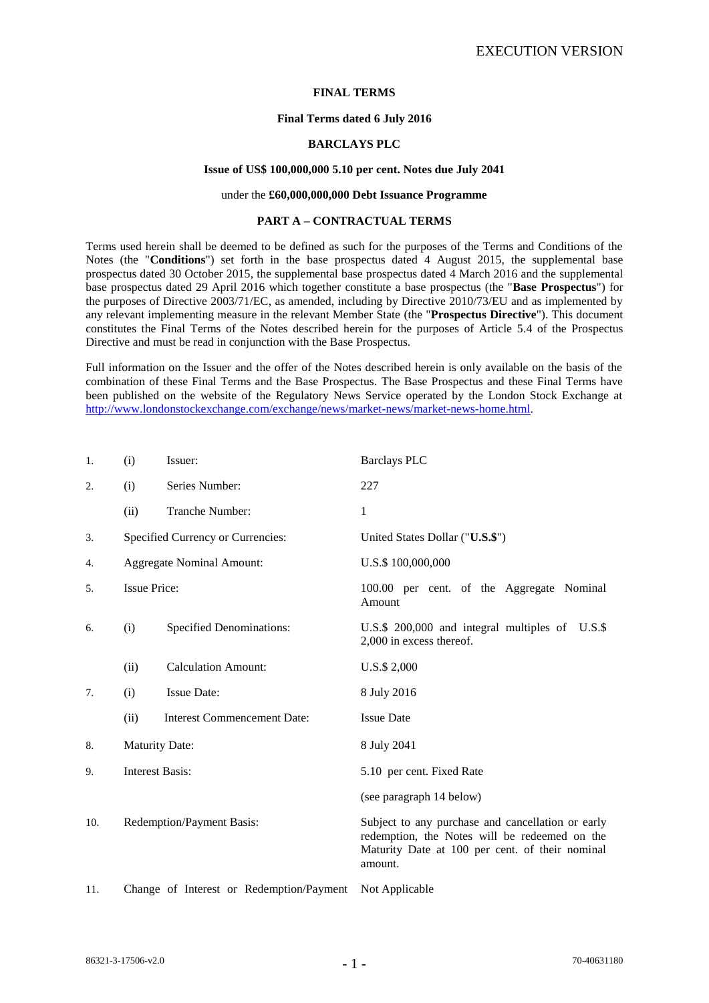# **FINAL TERMS**

### **Final Terms dated 6 July 2016**

# **BARCLAYS PLC**

### **Issue of US\$ 100,000,000 5.10 per cent. Notes due July 2041**

### under the **£60,000,000,000 Debt Issuance Programme**

### **PART A – CONTRACTUAL TERMS**

Terms used herein shall be deemed to be defined as such for the purposes of the Terms and Conditions of the Notes (the "**Conditions**") set forth in the base prospectus dated 4 August 2015, the supplemental base prospectus dated 30 October 2015, the supplemental base prospectus dated 4 March 2016 and the supplemental base prospectus dated 29 April 2016 which together constitute a base prospectus (the "**Base Prospectus**") for the purposes of Directive 2003/71/EC, as amended, including by Directive 2010/73/EU and as implemented by any relevant implementing measure in the relevant Member State (the "**Prospectus Directive**"). This document constitutes the Final Terms of the Notes described herein for the purposes of Article 5.4 of the Prospectus Directive and must be read in conjunction with the Base Prospectus.

Full information on the Issuer and the offer of the Notes described herein is only available on the basis of the combination of these Final Terms and the Base Prospectus. The Base Prospectus and these Final Terms have been published on the website of the Regulatory News Service operated by the London Stock Exchange at [http://www.londonstockexchange.com/exchange/news/market-news/market-news-home.html.](http://www.londonstockexchange.com/exchange/news/market-news/market-news-home.html)

| 1.  | (i)                               | Issuer:                                  | <b>Barclays PLC</b>                                                                                                                                              |
|-----|-----------------------------------|------------------------------------------|------------------------------------------------------------------------------------------------------------------------------------------------------------------|
| 2.  | (i)                               | Series Number:                           | 227                                                                                                                                                              |
|     | (ii)                              | Tranche Number:                          | 1                                                                                                                                                                |
| 3.  | Specified Currency or Currencies: |                                          | United States Dollar ("U.S.\$")                                                                                                                                  |
| 4.  |                                   | <b>Aggregate Nominal Amount:</b>         | U.S.\$ 100,000,000                                                                                                                                               |
| 5.  | <b>Issue Price:</b>               |                                          | 100.00 per cent. of the Aggregate Nominal<br>Amount                                                                                                              |
| 6.  | (i)                               | <b>Specified Denominations:</b>          | U.S.\$ 200,000 and integral multiples of U.S.\$<br>2,000 in excess thereof.                                                                                      |
|     | (ii)                              | <b>Calculation Amount:</b>               | U.S.\$ 2,000                                                                                                                                                     |
| 7.  | (i)                               | <b>Issue Date:</b>                       | 8 July 2016                                                                                                                                                      |
|     | (ii)                              | <b>Interest Commencement Date:</b>       | <b>Issue Date</b>                                                                                                                                                |
| 8.  | <b>Maturity Date:</b>             |                                          | 8 July 2041                                                                                                                                                      |
| 9.  | <b>Interest Basis:</b>            |                                          | 5.10 per cent. Fixed Rate                                                                                                                                        |
|     |                                   |                                          | (see paragraph 14 below)                                                                                                                                         |
| 10. |                                   | <b>Redemption/Payment Basis:</b>         | Subject to any purchase and cancellation or early<br>redemption, the Notes will be redeemed on the<br>Maturity Date at 100 per cent. of their nominal<br>amount. |
| 11. |                                   | Change of Interest or Redemption/Payment | Not Applicable                                                                                                                                                   |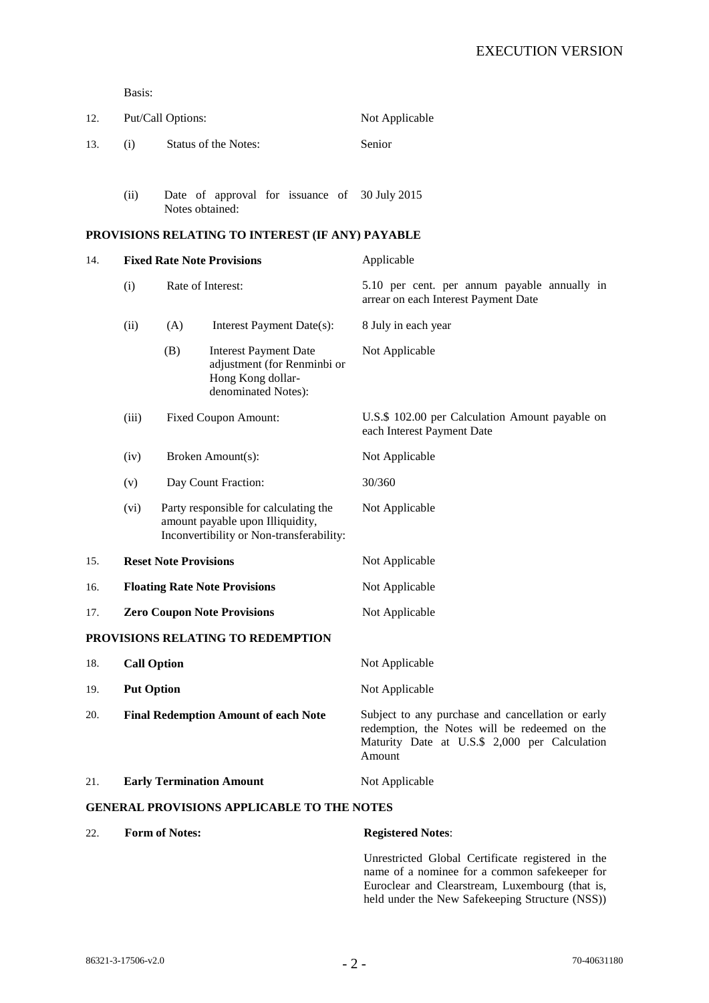Basis:

| 12. |     | Put/Call Options:           | Not Applicable |  |
|-----|-----|-----------------------------|----------------|--|
| 13. | (i) | <b>Status of the Notes:</b> | Senior         |  |
|     |     |                             |                |  |

(ii) Date of approval for issuance of 30 July 2015 Notes obtained:

# **PROVISIONS RELATING TO INTEREST (IF ANY) PAYABLE**

| 14.                                               | <b>Fixed Rate Note Provisions</b>           |                             |                                                                                                                       | Applicable                                                                                                                                                    |  |
|---------------------------------------------------|---------------------------------------------|-----------------------------|-----------------------------------------------------------------------------------------------------------------------|---------------------------------------------------------------------------------------------------------------------------------------------------------------|--|
|                                                   | (i)                                         | Rate of Interest:           |                                                                                                                       | 5.10 per cent. per annum payable annually in<br>arrear on each Interest Payment Date                                                                          |  |
|                                                   | (ii)                                        | (A)                         | Interest Payment Date(s):                                                                                             | 8 July in each year                                                                                                                                           |  |
|                                                   |                                             | (B)                         | <b>Interest Payment Date</b><br>adjustment (for Renminbi or<br>Hong Kong dollar-<br>denominated Notes):               | Not Applicable                                                                                                                                                |  |
|                                                   | (iii)                                       | <b>Fixed Coupon Amount:</b> |                                                                                                                       | U.S.\$ 102.00 per Calculation Amount payable on<br>each Interest Payment Date                                                                                 |  |
|                                                   | (iv)                                        | Broken Amount(s):           |                                                                                                                       | Not Applicable                                                                                                                                                |  |
|                                                   | (v)                                         | Day Count Fraction:         |                                                                                                                       | 30/360                                                                                                                                                        |  |
|                                                   | (vi)                                        |                             | Party responsible for calculating the<br>amount payable upon Illiquidity,<br>Inconvertibility or Non-transferability: | Not Applicable                                                                                                                                                |  |
| 15.                                               | <b>Reset Note Provisions</b>                |                             |                                                                                                                       | Not Applicable                                                                                                                                                |  |
| 16.                                               | <b>Floating Rate Note Provisions</b>        |                             |                                                                                                                       | Not Applicable                                                                                                                                                |  |
| 17.                                               | <b>Zero Coupon Note Provisions</b>          |                             |                                                                                                                       | Not Applicable                                                                                                                                                |  |
|                                                   |                                             |                             | PROVISIONS RELATING TO REDEMPTION                                                                                     |                                                                                                                                                               |  |
| 18.                                               | <b>Call Option</b>                          |                             |                                                                                                                       | Not Applicable                                                                                                                                                |  |
| 19.                                               | <b>Put Option</b>                           |                             |                                                                                                                       | Not Applicable                                                                                                                                                |  |
| 20.                                               | <b>Final Redemption Amount of each Note</b> |                             |                                                                                                                       | Subject to any purchase and cancellation or early<br>redemption, the Notes will be redeemed on the<br>Maturity Date at U.S.\$ 2,000 per Calculation<br>Amount |  |
| 21.                                               |                                             |                             | <b>Early Termination Amount</b>                                                                                       | Not Applicable                                                                                                                                                |  |
| <b>GENERAL PROVISIONS APPLICABLE TO THE NOTES</b> |                                             |                             |                                                                                                                       |                                                                                                                                                               |  |
| 22.                                               | <b>Form of Notes:</b>                       |                             |                                                                                                                       | <b>Registered Notes:</b>                                                                                                                                      |  |

Unrestricted Global Certificate registered in the name of a nominee for a common safekeeper for Euroclear and Clearstream, Luxembourg (that is, held under the New Safekeeping Structure (NSS))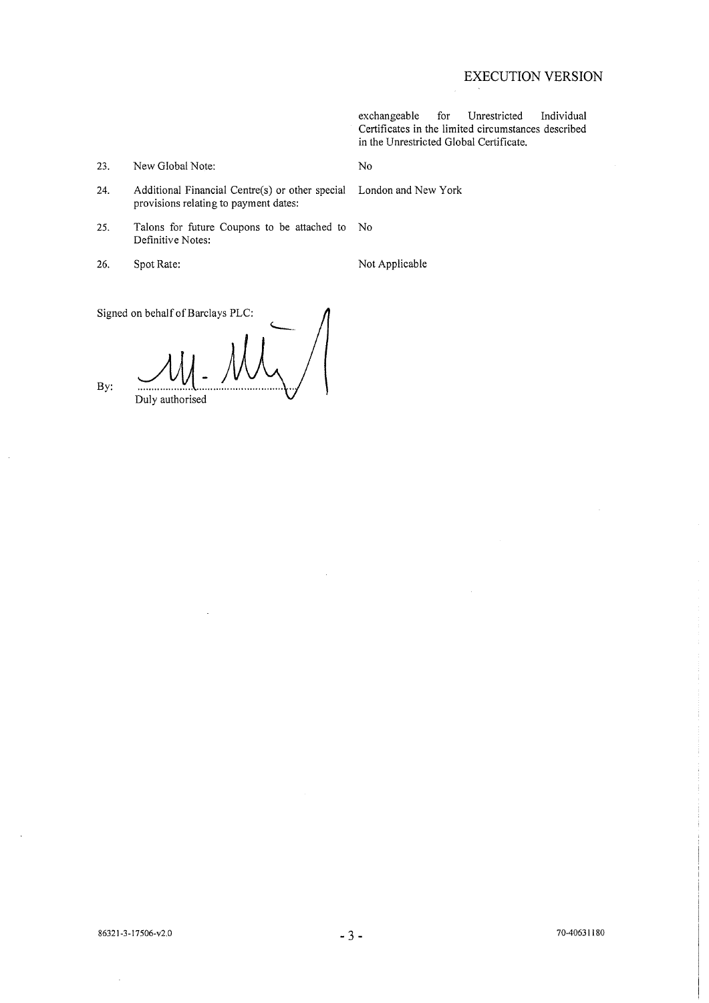# **EXECUTION VERSION**

exchangeable Unrestricted Individual for Certificates in the limited circumstances described in the Unrestricted Global Certificate.

No

Additional Financial Centre(s) or other special 24. provisions relating to payment dates:

- 25. Talons for future Coupons to be attached to  $\overline{N}$ Definitive Notes:
- 26. Spot Rate:

 $23.$ 

Not Applicable

London and New York

Signed on behalf of Barclays PLC:

New Global Note:

By: Duly authorised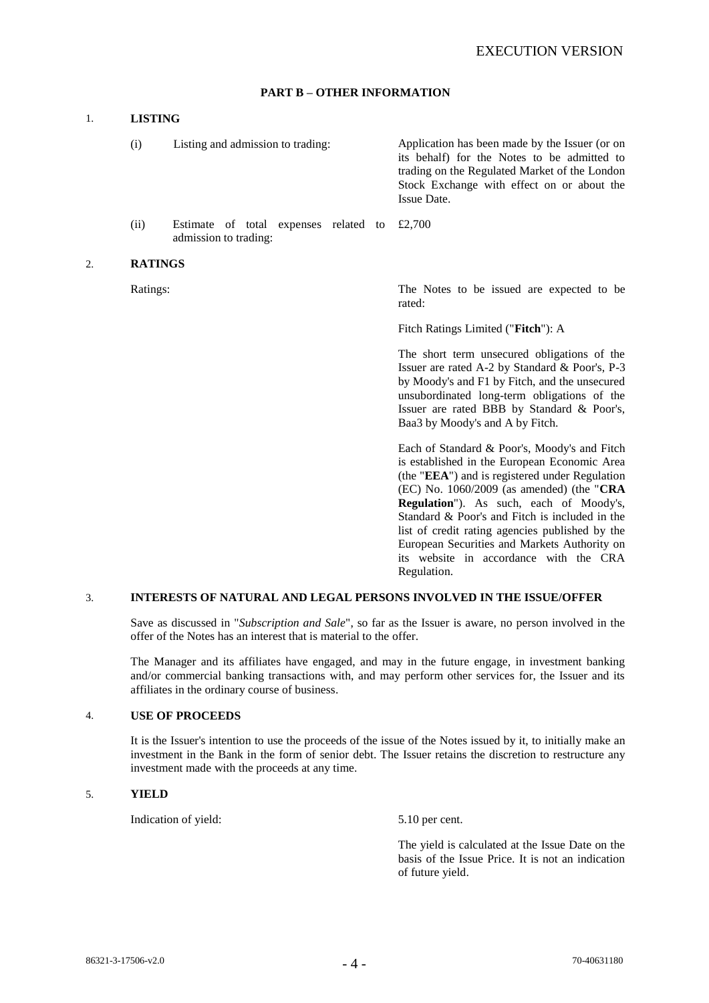# **PART B – OTHER INFORMATION**

## 1. **LISTING**

(i) Listing and admission to trading: Application has been made by the Issuer (or on its behalf) for the Notes to be admitted to trading on the Regulated Market of the London Stock Exchange with effect on or about the Issue Date.

(ii) Estimate of total expenses related to admission to trading: £2,700

#### 2. **RATINGS**

Ratings: The Notes to be issued are expected to be rated:

Fitch Ratings Limited ("**Fitch**"): A

The short term unsecured obligations of the Issuer are rated A-2 by Standard & Poor's, P-3 by Moody's and F1 by Fitch, and the unsecured unsubordinated long-term obligations of the Issuer are rated BBB by Standard & Poor's, Baa3 by Moody's and A by Fitch.

Each of Standard & Poor's, Moody's and Fitch is established in the European Economic Area (the "**EEA**") and is registered under Regulation (EC) No. 1060/2009 (as amended) (the "**CRA Regulation**"). As such, each of Moody's, Standard & Poor's and Fitch is included in the list of credit rating agencies published by the European Securities and Markets Authority on its website in accordance with the CRA Regulation.

# 3. **INTERESTS OF NATURAL AND LEGAL PERSONS INVOLVED IN THE ISSUE/OFFER**

Save as discussed in "*Subscription and Sale*", so far as the Issuer is aware, no person involved in the offer of the Notes has an interest that is material to the offer.

The Manager and its affiliates have engaged, and may in the future engage, in investment banking and/or commercial banking transactions with, and may perform other services for, the Issuer and its affiliates in the ordinary course of business.

#### 4. **USE OF PROCEEDS**

It is the Issuer's intention to use the proceeds of the issue of the Notes issued by it, to initially make an investment in the Bank in the form of senior debt. The Issuer retains the discretion to restructure any investment made with the proceeds at any time.

## 5. **YIELD**

Indication of yield:  $5.10$  per cent.

The yield is calculated at the Issue Date on the basis of the Issue Price. It is not an indication of future yield.